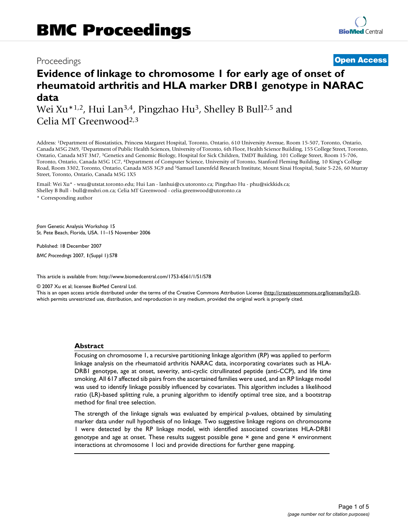## Proceedings **[Open Access](http://www.biomedcentral.com/info/about/charter/)**

# **Evidence of linkage to chromosome 1 for early age of onset of rheumatoid arthritis and HLA marker DRB1 genotype in NARAC data**

Wei Xu<sup>\*1,2</sup>, Hui Lan<sup>3,4</sup>, Pingzhao Hu<sup>3</sup>, Shelley B Bull<sup>2,5</sup> and Celia MT Greenwood2,3

Address: 1Department of Biostatistics, Princess Margaret Hospital, Toronto, Ontario, 610 University Avenue, Room 15-507, Toronto, Ontario, Canada M5G 2M9, 2Department of Public Health Sciences, University of Toronto, 6th Floor, Health Science Building, 155 College Street, Toronto, Ontario, Canada M5T 3M7, 3Genetics and Genomic Biology, Hospital for Sick Children, TMDT Building, 101 College Street, Room 15-706, Toronto, Ontario, Canada M5G 1C7, 4Department of Computer Science, University of Toronto, Stanford Fleming Building, 10 King's College Road, Room 3302, Toronto, Ontario, Canada M5S 3G9 and 5Samuel Lunenfeld Research Institute, Mount Sinai Hospital, Suite 5-226, 60 Murray Street, Toronto, Ontario, Canada M5G 1X5

Email: Wei Xu\* - wxu@utstat.toronto.edu; Hui Lan - lanhui@cs.utoronto.ca; Pingzhao Hu - phu@sickkids.ca; Shelley B Bull - bull@mshri.on.ca; Celia MT Greenwood - celia.greenwood@utoronto.ca \* Corresponding author

*from* Genetic Analysis Workshop 15 St. Pete Beach, Florida, USA. 11–15 November 2006

Published: 18 December 2007 *BMC Proceedings* 2007, **1**(Suppl 1):S78

[This article is available from: http://www.biomedcentral.com/1753-6561/1/S1/S78](http://www.biomedcentral.com/1753-6561/1/S1/S78)

© 2007 Xu et al; licensee BioMed Central Ltd.

This is an open access article distributed under the terms of the Creative Commons Attribution License [\(http://creativecommons.org/licenses/by/2.0\)](http://creativecommons.org/licenses/by/2.0), which permits unrestricted use, distribution, and reproduction in any medium, provided the original work is properly cited.

#### **Abstract**

Focusing on chromosome 1, a recursive partitioning linkage algorithm (RP) was applied to perform linkage analysis on the rheumatoid arthritis NARAC data, incorporating covariates such as HLA-DRB1 genotype, age at onset, severity, anti-cyclic citrullinated peptide (anti-CCP), and life time smoking. All 617 affected sib pairs from the ascertained families were used, and an RP linkage model was used to identify linkage possibly influenced by covariates. This algorithm includes a likelihood ratio (LR)-based splitting rule, a pruning algorithm to identify optimal tree size, and a bootstrap method for final tree selection.

The strength of the linkage signals was evaluated by empirical *p*-values, obtained by simulating marker data under null hypothesis of no linkage. Two suggestive linkage regions on chromosome 1 were detected by the RP linkage model, with identified associated covariates HLA-DRB1 genotype and age at onset. These results suggest possible gene × gene and gene × environment interactions at chromosome 1 loci and provide directions for further gene mapping.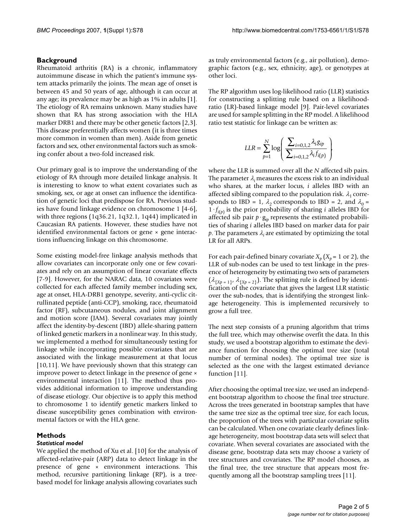#### **Background**

Rheumatoid arthritis (RA) is a chronic, inflammatory autoimmune disease in which the patient's immune system attacks primarily the joints. The mean age of onset is between 45 and 50 years of age, although it can occur at any age; its prevalence may be as high as 1% in adults [1]. The etiology of RA remains unknown. Many studies have shown that RA has strong association with the HLA marker DRB1 and there may be other genetic factors [2,3]. This disease preferentially affects women (it is three times more common in women than men). Aside from genetic factors and sex, other environmental factors such as smoking confer about a two-fold increased risk.

Our primary goal is to improve the understanding of the etiology of RA through more detailed linkage analysis. It is interesting to know to what extent covariates such as smoking, sex, or age at onset can influence the identification of genetic loci that predispose for RA. Previous studies have found linkage evidence on chromosome 1 [4-6], with three regions (1q36.21, 1q32.1, 1q44) implicated in Caucasian RA patients. However, these studies have not identified environmental factors or gene  $\times$  gene interactions influencing linkage on this chromosome.

Some existing model-free linkage analysis methods that allow covariates can incorporate only one or few covariates and rely on an assumption of linear covariate effects [7-9]. However, for the NARAC data, 10 covariates were collected for each affected family member including sex, age at onset, HLA-DRB1 genotype, severity, anti-cyclic citrullinated peptide (anti-CCP), smoking, race, rheumatoid factor (RF), subcutaneous nodules, and joint alignment and motion score (JAM). Several covariates may jointly affect the identity-by-descent (IBD) allele-sharing pattern of linked genetic markers in a nonlinear way. In this study, we implemented a method for simultaneously testing for linkage while incorporating possible covariates that are associated with the linkage measurement at that locus [10,11]. We have previously shown that this strategy can improve power to detect linkage in the presence of gene × environmental interaction [11]. The method thus provides additional information to improve understanding of disease etiology. Our objective is to apply this method to chromosome 1 to identify genetic markers linked to disease susceptibility genes combination with environmental factors or with the HLA gene.

#### **Methods**

#### *Statistical model*

We applied the method of Xu et al. [10] for the analysis of affected-relative-pair (ARP) data to detect linkage in the presence of gene × environment interactions. This method, recursive partitioning linkage (RP), is a treebased model for linkage analysis allowing covariates such

as truly environmental factors (e.g., air pollution), demographic factors (e.g., sex, ethnicity, age), or genotypes at other loci.

The RP algorithm uses log-likelihood ratio (LLR) statistics for constructing a splitting rule based on a likelihoodratio (LR)-based linkage model [9]. Pair-level covariates are used for sample splitting in the RP model. A likelihood ratio test statistic for linkage can be written as:

$$
LLR = \sum_{p=1}^N \log \left( \frac{\sum_{i=0,1,2} \lambda_i g_{ip}}{\sum_{i=0,1,2} \lambda_i f_{i(p)}} \right)
$$

where the LLR is summed over all the *N* affected sib pairs. The parameter  $\lambda_i$  measures the excess risk to an individual who shares, at the marker locus, *i* alleles IBD with an affected sibling compared to the population risk.  $\lambda_1$  corresponds to IBD = 1,  $\lambda_2$  corresponds to IBD = 2, and  $\lambda_0$  =  $1 \cdot f_{i(n)}$  is the prior probability of sharing *i* alleles IBD for affected sib pair  $p \cdot g_{ip}$  represents the estimated probabilities of sharing *i* alleles IBD based on marker data for pair  $p$ . The parameters  $\lambda_i$  are estimated by optimizing the total LR for all ARPs.

For each pair-defined binary covariate  $X_p$  ( $X_p$  = 1 or 2), the LLR of sub-nodes can be used to test linkage in the presence of heterogeneity by estimating two sets of parameters  $(\lambda_{\{Xp = 1\}}, \lambda_{\{Xp = 2\}})$ . The splitting rule is defined by identification of the covariate that gives the largest LLR statistic over the sub-nodes, that is identifying the strongest linkage heterogeneity. This is implemented recursively to grow a full tree.

The next step consists of a pruning algorithm that trims the full tree, which may otherwise overfit the data. In this study, we used a bootstrap algorithm to estimate the deviance function for choosing the optimal tree size (total number of terminal nodes). The optimal tree size is selected as the one with the largest estimated deviance function [11].

After choosing the optimal tree size, we used an independent bootstrap algorithm to choose the final tree structure. Across the trees generated in bootstrap samples that have the same tree size as the optimal tree size, for each locus, the proportion of the trees with particular covariate splits can be calculated. When one covariate clearly defines linkage heterogeneity, most bootstrap data sets will select that covariate. When several covariates are associated with the disease gene, bootstrap data sets may choose a variety of tree structures and covariates. The RP model chooses, as the final tree, the tree structure that appears most frequently among all the bootstrap sampling trees [11].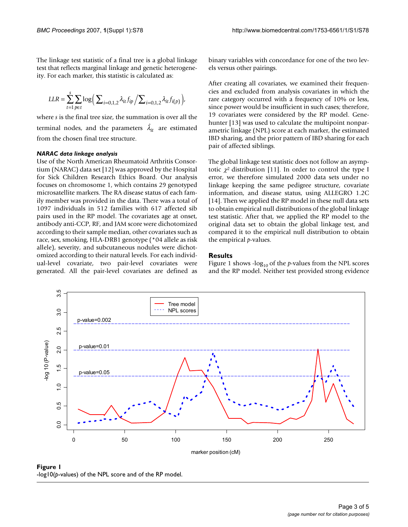The linkage test statistic of a final tree is a global linkage test that reflects marginal linkage and genetic heterogeneity. For each marker, this statistic is calculated as:

$$
LLR = \sum_{t=1}^{s} \sum_{p \in t} \log \Big( \sum_{i=0,1,2} \lambda_{it} f_{ip} / \sum_{i=0,1,2} \lambda_{it} f_{i(p)} \Big),
$$

where *s* is the final tree size, the summation is over all the terminal nodes, and the parameters  $\hat{\lambda}_{it}$  are estimated from the chosen final tree structure.

#### *NARAC data linkage analysis*

Use of the North American Rheumatoid Arthritis Consortium (NARAC) data set [12] was approved by the Hospital for Sick Children Research Ethics Board. Our analysis focuses on chromosome 1, which contains 29 genotyped microsatellite markers. The RA disease status of each family member was provided in the data. There was a total of 1097 individuals in 512 families with 617 affected sib pairs used in the RP model. The covariates age at onset, antibody anti-CCP, RF, and JAM score were dichotomized according to their sample median, other covariates such as race, sex, smoking, HLA-DRB1 genotype (\*04 allele as risk allele), severity, and subcutaneous nodules were dichotomized according to their natural levels. For each individual-level covariate, two pair-level covariates were generated. All the pair-level covariates are defined as binary variables with concordance for one of the two levels versus other pairings.

After creating all covariates, we examined their frequencies and excluded from analysis covariates in which the rare category occurred with a frequency of 10% or less, since power would be insufficient in such cases; therefore, 19 covariates were considered by the RP model. Genehunter [13] was used to calculate the multipoint nonparametric linkage (NPL) score at each marker, the estimated IBD sharing, and the prior pattern of IBD sharing for each pair of affected siblings.

The global linkage test statistic does not follow an asymptotic  $\chi^2$  distribution [11]. In order to control the type I error, we therefore simulated 2000 data sets under no linkage keeping the same pedigree structure, covariate information, and disease status, using ALLEGRO 1.2C [14]. Then we applied the RP model in these null data sets to obtain empirical null distributions of the global linkage test statistic. After that, we applied the RP model to the original data set to obtain the global linkage test, and compared it to the empirical null distribution to obtain the empirical *p*-values.

#### **Results**

Figure 1 shows -log<sub>10</sub> of the *p*-values from the NPL scores and the RP model. Neither test provided strong evidence



Figure 1 -log10(*p*-values) of the NPL score and of the RP model.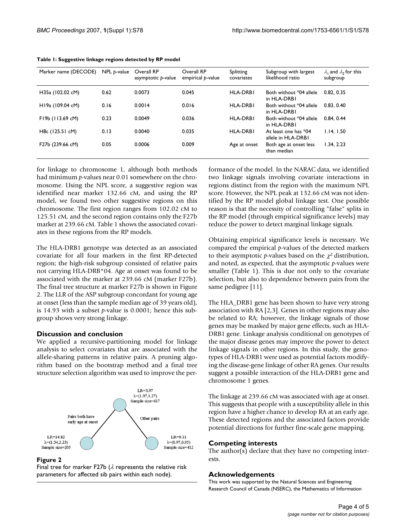| Marker name (DECODE) | $NPL p-value$ | Overall RP<br>asymptotic p-value | Overall RP<br>empirical p-value | Splitting<br>covariates | Subgroup with largest<br>likelihood ratio  | $\lambda_1$ and $\lambda_2$ for this<br>subgroup |
|----------------------|---------------|----------------------------------|---------------------------------|-------------------------|--------------------------------------------|--------------------------------------------------|
| H35a (102.02 cM)     | 0.62          | 0.0073                           | 0.045                           | <b>HLA-DRBI</b>         | Both without *04 allele<br>in HLA-DRBI     | 0.82, 0.35                                       |
| H19a (109.04 cM)     | 0.16          | 0.0014                           | 0.016                           | <b>HLA-DRBI</b>         | Both without *04 allele<br>in HLA-DRBI     | 0.83, 0.40                                       |
| F19b (113.69 cM)     | 0.23          | 0.0049                           | 0.036                           | <b>HLA-DRBI</b>         | Both without *04 allele<br>in HLA-DRBI     | 0.84, 0.44                                       |
| H8c (125.51 cM)      | 0.13          | 0.0040                           | 0.035                           | <b>HLA-DRBI</b>         | At least one has *04<br>allele in HLA-DRBI | 1.14.1.50                                        |
| F27b (239.66 cM)     | 0.05          | 0.0006                           | 0.009                           | Age at onset            | Both age at onset less<br>than median      | 1.34.2.23                                        |

**Table 1: Suggestive linkage regions detected by RP model**

for linkage to chromosome 1, although both methods had minimum *p*-values near 0.01 somewhere on the chromosome. Using the NPL score, a suggestive region was identified near marker 132.66 cM, and using the RP model, we found two other suggestive regions on this chromosome. The first region ranges from 102.02 cM to 125.51 cM, and the second region contains only the F27b marker at 239.66 cM. Table 1 shows the associated covariates in these regions from the RP models.

The HLA-DRB1 genotype was detected as an associated covariate for all four markers in the first RP-detected region; the high-risk subgroup consisted of relative pairs not carrying HLA-DRB\*04. Age at onset was found to be associated with the marker at 239.66 cM (marker F27b). The final tree structure at marker F27b is shown in Figure 2. The LLR of the ASP subgroup concordant for young age at onset (less than the sample median age of 39 years old), is 14.93 with a subset *p*-value is 0.0001; hence this subgroup shows very strong linkage.

### **Discussion and conclusion**

We applied a recursive-partitioning model for linkage analysis to select covariates that are associated with the allele-sharing patterns in relative pairs. A pruning algorithm based on the bootstrap method and a final tree structure selection algorithm was used to improve the per-



#### **Figure 2**

Final tree for marker F27b ( $\lambda$  represents the relative risk parameters for affected sib pairs within each node).

formance of the model. In the NARAC data, we identified two linkage signals involving covariate interactions in regions distinct from the region with the maximum NPL score. However, the NPL peak at 132.66 cM was not identified by the RP model global linkage test. One possible reason is that the necessity of controlling "false" splits in the RP model (through empirical significance levels) may reduce the power to detect marginal linkage signals.

Obtaining empirical significance levels is necessary. We compared the empirical *p*-values of the detected markers to their asymptotic *p*-values based on the  $\chi^2$  distribution, and noted, as expected, that the asymptotic *p*-values were smaller (Table 1). This is due not only to the covariate selection, but also to dependence between pairs from the same pedigree [11].

The HLA\_DRB1 gene has been shown to have very strong association with RA [2,3]. Genes in other regions may also be related to RA; however, the linkage signals of those genes may be masked by major gene effects, such as HLA-DRB1 gene. Linkage analysis conditional on genotypes of the major disease genes may improve the power to detect linkage signals in other regions. In this study, the genotypes of HLA-DRB1 were used as potential factors modifying the disease-gene linkage of other RA genes. Our results suggest a possible interaction of the HLA-DRB1 gene and chromosome 1 genes.

The linkage at 239.66 cM was associated with age at onset. This suggests that people with a susceptibility allele in this region have a higher chance to develop RA at an early age. These detected regions and the associated factors provide potential directions for further fine-scale gene mapping.

#### **Competing interests**

The author(s) declare that they have no competing interests.

#### **Acknowledgements**

This work was supported by the Natural Sciences and Engineering Research Council of Canada (NSERC), the Mathematics of Information